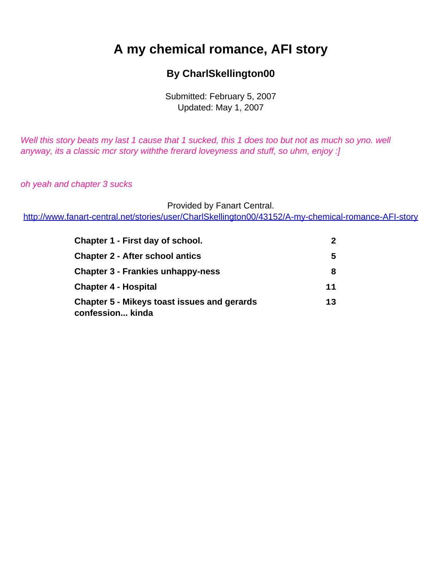# <span id="page-0-0"></span>**A my chemical romance, AFI story**

### **By CharlSkellington00**

Submitted: February 5, 2007 Updated: May 1, 2007

Well this story beats my last 1 cause that 1 sucked, this 1 does too but not as much so yno. well anyway, its a classic mcr story withthe frerard loveyness and stuff, so uhm, enjoy :]

oh yeah and chapter 3 sucks

Provided by Fanart Central.

[http://www.fanart-central.net/stories/user/CharlSkellington00/43152/A-my-chemical-romance-AFI-story](#page-0-0)

| Chapter 1 - First day of school.<br><b>Chapter 2 - After school antics</b><br><b>Chapter 3 - Frankies unhappy-ness</b> | $\mathbf{2}$<br>5<br>8 |                                                                        |    |
|------------------------------------------------------------------------------------------------------------------------|------------------------|------------------------------------------------------------------------|----|
|                                                                                                                        |                        | <b>Chapter 4 - Hospital</b>                                            | 11 |
|                                                                                                                        |                        | <b>Chapter 5 - Mikeys toast issues and gerards</b><br>confession kinda | 13 |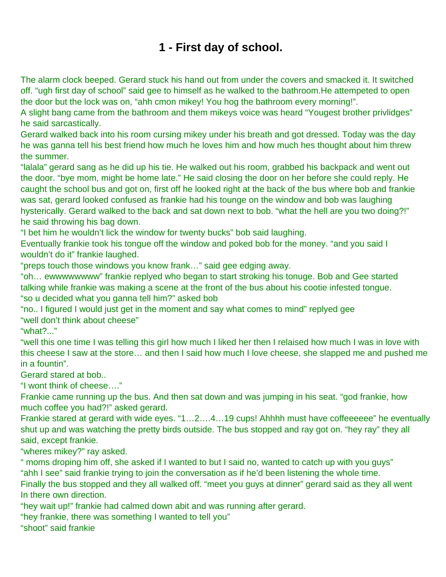# **1 - First day of school.**

<span id="page-1-0"></span>The alarm clock beeped. Gerard stuck his hand out from under the covers and smacked it. It switched off. "ugh first day of school" said gee to himself as he walked to the bathroom.He attempeted to open the door but the lock was on, "ahh cmon mikey! You hog the bathroom every morning!".

A slight bang came from the bathroom and them mikeys voice was heard "Yougest brother privlidges" he said sarcastically.

Gerard walked back into his room cursing mikey under his breath and got dressed. Today was the day he was ganna tell his best friend how much he loves him and how much hes thought about him threw the summer.

"lalala" gerard sang as he did up his tie. He walked out his room, grabbed his backpack and went out the door. "bye mom, might be home late." He said closing the door on her before she could reply. He caught the school bus and got on, first off he looked right at the back of the bus where bob and frankie was sat, gerard looked confused as frankie had his tounge on the window and bob was laughing hysterically. Gerard walked to the back and sat down next to bob. "what the hell are you two doing?!" he said throwing his bag down.

"I bet him he wouldn't lick the window for twenty bucks" bob said laughing.

Eventually frankie took his tongue off the window and poked bob for the money. "and you said I wouldn't do it" frankie laughed.

"preps touch those windows you know frank…" said gee edging away.

"oh… ewwwwwwww" frankie replyed who began to start stroking his tonuge. Bob and Gee started talking while frankie was making a scene at the front of the bus about his cootie infested tongue. "so u decided what you ganna tell him?" asked bob

"no.. I figured I would just get in the moment and say what comes to mind" replyed gee "well don't think about cheese"

"what?..."

"well this one time I was telling this girl how much I liked her then I relaised how much I was in love with this cheese I saw at the store… and then I said how much I love cheese, she slapped me and pushed me in a fountin".

Gerard stared at bob..

"I wont think of cheese…."

Frankie came running up the bus. And then sat down and was jumping in his seat. "god frankie, how much coffee you had?!" asked gerard.

Frankie stared at gerard with wide eyes. "1…2….4…19 cups! Ahhhh must have coffeeeeee" he eventually shut up and was watching the pretty birds outside. The bus stopped and ray got on. "hey ray" they all said, except frankie.

"wheres mikey?" ray asked.

" moms droping him off, she asked if I wanted to but I said no, wanted to catch up with you guys" "ahh I see" said frankie trying to join the conversation as if he'd been listening the whole time.

Finally the bus stopped and they all walked off. "meet you guys at dinner" gerard said as they all went In there own direction.

"hey wait up!" frankie had calmed down abit and was running after gerard.

"hey frankie, there was something I wanted to tell you"

"shoot" said frankie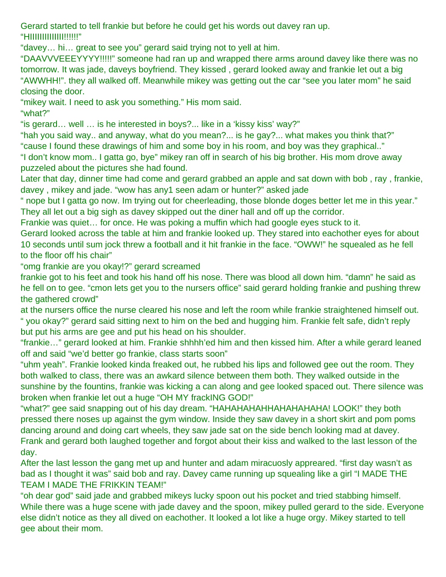Gerard started to tell frankie but before he could get his words out davey ran up. "HIIIIIIIIIIIIII!!!!!!"

"davey… hi… great to see you" gerard said trying not to yell at him.

"DAAVVVEEEYYYY!!!!!" someone had ran up and wrapped there arms around davey like there was no tomorrow. It was jade, daveys boyfriend. They kissed , gerard looked away and frankie let out a big "AWWHH!". they all walked off. Meanwhile mikey was getting out the car "see you later mom" he said closing the door.

"mikey wait. I need to ask you something." His mom said.

"what?"

"is gerard… well … is he interested in boys?... like in a 'kissy kiss' way?"

"hah you said way.. and anyway, what do you mean?... is he gay?... what makes you think that?" "cause I found these drawings of him and some boy in his room, and boy was they graphical.."

"I don't know mom.. I gatta go, bye" mikey ran off in search of his big brother. His mom drove away puzzeled about the pictures she had found.

Later that day, dinner time had come and gerard grabbed an apple and sat down with bob , ray , frankie, davey , mikey and jade. "wow has any1 seen adam or hunter?" asked jade

" nope but I gatta go now. Im trying out for cheerleading, those blonde doges better let me in this year." They all let out a big sigh as davey skipped out the diner hall and off up the corridor.

Frankie was quiet… for once. He was poking a muffin which had google eyes stuck to it.

Gerard looked across the table at him and frankie looked up. They stared into eachother eyes for about 10 seconds until sum jock threw a football and it hit frankie in the face. "OWW!" he squealed as he fell to the floor off his chair"

"omg frankie are you okay!?" gerard screamed

frankie got to his feet and took his hand off his nose. There was blood all down him. "damn" he said as he fell on to gee. "cmon lets get you to the nursers office" said gerard holding frankie and pushing threw the gathered crowd"

at the nursers office the nurse cleared his nose and left the room while frankie straightened himself out. " you okay?" gerard said sitting next to him on the bed and hugging him. Frankie felt safe, didn't reply but put his arms are gee and put his head on his shoulder.

"frankie…" gerard looked at him. Frankie shhhh'ed him and then kissed him. After a while gerard leaned off and said "we'd better go frankie, class starts soon"

"uhm yeah". Frankie looked kinda freaked out, he rubbed his lips and followed gee out the room. They both walked to class, there was an awkard silence between them both. They walked outside in the sunshine by the fountins, frankie was kicking a can along and gee looked spaced out. There silence was broken when frankie let out a huge "OH MY frackING GOD!"

"what?" gee said snapping out of his day dream. "HAHAHAHAHHAHAHAHAHA! LOOK!" they both pressed there noses up against the gym window. Inside they saw davey in a short skirt and pom poms dancing around and doing cart wheels, they saw jade sat on the side bench looking mad at davey. Frank and gerard both laughed together and forgot about their kiss and walked to the last lesson of the day.

After the last lesson the gang met up and hunter and adam miracuosly appreared. "first day wasn't as bad as I thought it was" said bob and ray. Davey came running up squealing like a girl "I MADE THE TEAM I MADE THE FRIKKIN TEAM!"

"oh dear god" said jade and grabbed mikeys lucky spoon out his pocket and tried stabbing himself. While there was a huge scene with jade davey and the spoon, mikey pulled gerard to the side. Everyone else didn't notice as they all dived on eachother. It looked a lot like a huge orgy. Mikey started to tell gee about their mom.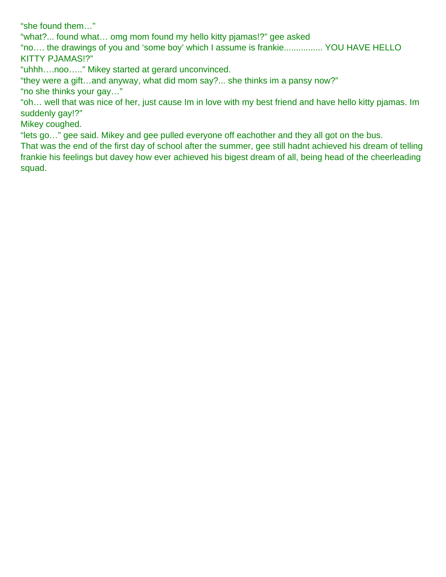"she found them…"

"what?... found what… omg mom found my hello kitty pjamas!?" gee asked

"no…. the drawings of you and 'some boy' which I assume is frankie................ YOU HAVE HELLO KITTY PJAMAS!?"

"uhhh….noo….." Mikey started at gerard unconvinced.

"they were a gift…and anyway, what did mom say?... she thinks im a pansy now?"

"no she thinks your gay…"

"oh… well that was nice of her, just cause Im in love with my best friend and have hello kitty pjamas. Im suddenly gay!?"

Mikey coughed.

"lets go…" gee said. Mikey and gee pulled everyone off eachother and they all got on the bus.

That was the end of the first day of school after the summer, gee still hadnt achieved his dream of telling frankie his feelings but davey how ever achieved his bigest dream of all, being head of the cheerleading squad.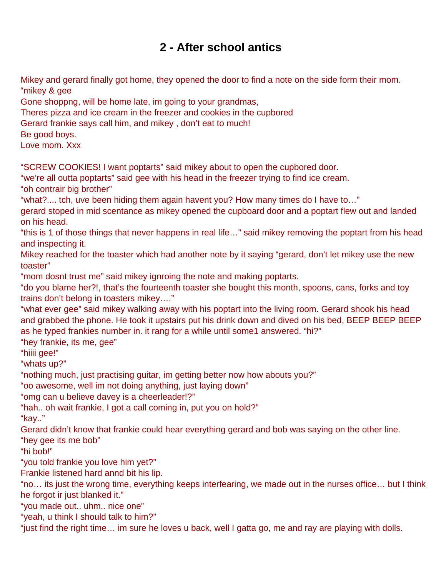# **2 - After school antics**

<span id="page-4-0"></span>Mikey and gerard finally got home, they opened the door to find a note on the side form their mom. "mikey & gee

Gone shoppng, will be home late, im going to your grandmas,

Theres pizza and ice cream in the freezer and cookies in the cupbored

Gerard frankie says call him, and mikey , don't eat to much!

Be good boys.

Love mom. Xxx

"SCREW COOKIES! I want poptarts" said mikey about to open the cupbored door.

"we're all outta poptarts" said gee with his head in the freezer trying to find ice cream. "oh contrair big brother"

"what?.... tch, uve been hiding them again havent you? How many times do I have to…"

gerard stoped in mid scentance as mikey opened the cupboard door and a poptart flew out and landed on his head.

"this is 1 of those things that never happens in real life…" said mikey removing the poptart from his head and inspecting it.

Mikey reached for the toaster which had another note by it saying "gerard, don't let mikey use the new toaster"

"mom dosnt trust me" said mikey ignroing the note and making poptarts.

"do you blame her?!, that's the fourteenth toaster she bought this month, spoons, cans, forks and toy trains don't belong in toasters mikey…."

"what ever gee" said mikey walking away with his poptart into the living room. Gerard shook his head and grabbed the phone. He took it upstairs put his drink down and dived on his bed, BEEP BEEP BEEP as he typed frankies number in. it rang for a while until some1 answered. "hi?"

"hey frankie, its me, gee"

"hiiii gee!"

"whats up?"

"nothing much, just practising guitar, im getting better now how abouts you?"

"oo awesome, well im not doing anything, just laying down"

"omg can u believe davey is a cheerleader!?"

"hah.. oh wait frankie, I got a call coming in, put you on hold?"

"kay.."

Gerard didn't know that frankie could hear everything gerard and bob was saying on the other line.

"hey gee its me bob"

"hi bob!"

"you told frankie you love him yet?"

Frankie listened hard annd bit his lip.

"no… its just the wrong time, everything keeps interfearing, we made out in the nurses office… but I think he forgot ir just blanked it."

"you made out.. uhm.. nice one"

"yeah, u think I should talk to him?"

"just find the right time… im sure he loves u back, well I gatta go, me and ray are playing with dolls.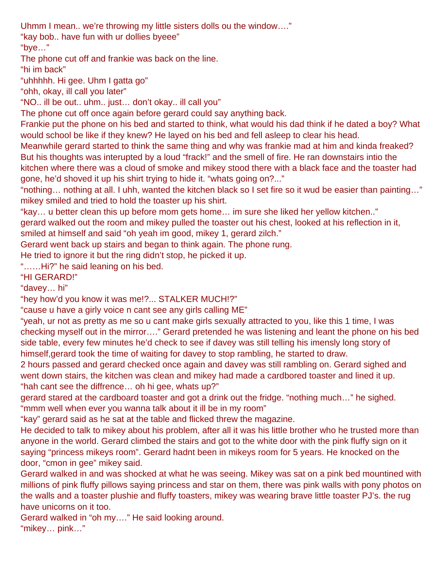Uhmm I mean.. we're throwing my little sisters dolls ou the window…."

"kay bob.. have fun with ur dollies byeee"

"bye…"

The phone cut off and frankie was back on the line.

"hi im back"

"uhhhhh. Hi gee. Uhm I gatta go"

"ohh, okay, ill call you later"

"NO.. ill be out.. uhm.. just… don't okay.. ill call you"

The phone cut off once again before gerard could say anything back.

Frankie put the phone on his bed and started to think, what would his dad think if he dated a boy? What would school be like if they knew? He layed on his bed and fell asleep to clear his head.

Meanwhile gerard started to think the same thing and why was frankie mad at him and kinda freaked? But his thoughts was interupted by a loud "frack!" and the smell of fire. He ran downstairs intio the kitchen where there was a cloud of smoke and mikey stood there with a black face and the toaster had gone, he'd shoved it up his shirt trying to hide it. "whats going on?..."

"nothing… nothing at all. I uhh, wanted the kitchen black so I set fire so it wud be easier than painting…" mikey smiled and tried to hold the toaster up his shirt.

"kay… u better clean this up before mom gets home… im sure she liked her yellow kitchen.."

gerard walked out the room and mikey pulled the toaster out his chest, looked at his reflection in it, smiled at himself and said "oh yeah im good, mikey 1, gerard zilch."

Gerard went back up stairs and began to think again. The phone rung.

He tried to ignore it but the ring didn't stop, he picked it up.

"……Hi?" he said leaning on his bed.

"HI GERARD!"

"davey… hi"

"hey how'd you know it was me!?... STALKER MUCH!?"

"cause u have a girly voice n cant see any girls calling ME"

"yeah, ur not as pretty as me so u cant make girls sexually attracted to you, like this 1 time, I was checking myself out in the mirror…." Gerard pretended he was listening and leant the phone on his bed side table, every few minutes he'd check to see if davey was still telling his imensly long story of himself,gerard took the time of waiting for davey to stop rambling, he started to draw.

2 hours passed and gerard checked once again and davey was still rambling on. Gerard sighed and went down stairs, the kitchen was clean and mikey had made a cardbored toaster and lined it up. "hah cant see the diffrence… oh hi gee, whats up?"

gerard stared at the cardboard toaster and got a drink out the fridge. "nothing much…" he sighed. "mmm well when ever you wanna talk about it ill be in my room"

"kay" gerard said as he sat at the table and flicked threw the magazine.

He decided to talk to mikey about his problem, after all it was his little brother who he trusted more than anyone in the world. Gerard climbed the stairs and got to the white door with the pink fluffy sign on it saying "princess mikeys room". Gerard hadnt been in mikeys room for 5 years. He knocked on the door, "cmon in gee" mikey said.

Gerard walked in and was shocked at what he was seeing. Mikey was sat on a pink bed mountined with millions of pink fluffy pillows saying princess and star on them, there was pink walls with pony photos on the walls and a toaster plushie and fluffy toasters, mikey was wearing brave little toaster PJ's. the rug have unicorns on it too.

Gerard walked in "oh my…." He said looking around. "mikey… pink…"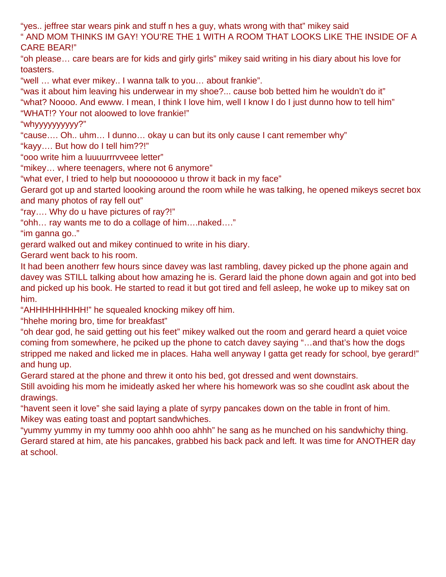"yes.. jeffree star wears pink and stuff n hes a guy, whats wrong with that" mikey said " AND MOM THINKS IM GAY! YOU'RE THE 1 WITH A ROOM THAT LOOKS LIKE THE INSIDE OF A CARE BEAR!"

"oh please… care bears are for kids and girly girls" mikey said writing in his diary about his love for toasters.

"well … what ever mikey.. I wanna talk to you… about frankie".

"was it about him leaving his underwear in my shoe?... cause bob betted him he wouldn't do it" "what? Noooo. And ewww. I mean, I think I love him, well I know I do I just dunno how to tell him" "WHAT!? Your not aloowed to love frankie!"

"whyyyyyyyyyy?"

"cause…. Oh.. uhm… I dunno… okay u can but its only cause I cant remember why"

"kayy…. But how do I tell him??!"

"ooo write him a luuuurrrvveee letter"

"mikey… where teenagers, where not 6 anymore"

"what ever, I tried to help but noooooooo u throw it back in my face"

Gerard got up and started loooking around the room while he was talking, he opened mikeys secret box and many photos of ray fell out"

"ray…. Why do u have pictures of ray?!"

"ohh… ray wants me to do a collage of him….naked…."

"im ganna go.."

gerard walked out and mikey continued to write in his diary.

Gerard went back to his room.

It had been anotherr few hours since davey was last rambling, davey picked up the phone again and davey was STILL talking about how amazing he is. Gerard laid the phone down again and got into bed and picked up his book. He started to read it but got tired and fell asleep, he woke up to mikey sat on him.

"AHHHHHHHHH!" he squealed knocking mikey off him.

"hhehe moring bro, time for breakfast"

"oh dear god, he said getting out his feet" mikey walked out the room and gerard heard a quiet voice coming from somewhere, he pciked up the phone to catch davey saying "…and that's how the dogs stripped me naked and licked me in places. Haha well anyway I gatta get ready for school, bye gerard!" and hung up.

Gerard stared at the phone and threw it onto his bed, got dressed and went downstairs.

Still avoiding his mom he imideatly asked her where his homework was so she coudlnt ask about the drawings.

"havent seen it love" she said laying a plate of syrpy pancakes down on the table in front of him. Mikey was eating toast and poptart sandwhiches.

"yummy yummy in my tummy ooo ahhh ooo ahhh" he sang as he munched on his sandwhichy thing. Gerard stared at him, ate his pancakes, grabbed his back pack and left. It was time for ANOTHER day at school.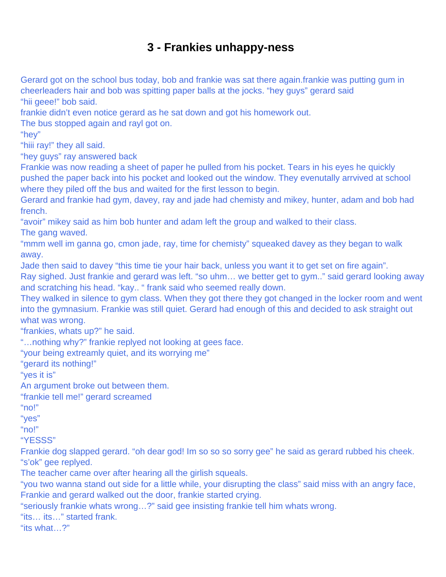## **3 - Frankies unhappy-ness**

<span id="page-7-0"></span>Gerard got on the school bus today, bob and frankie was sat there again.frankie was putting gum in cheerleaders hair and bob was spitting paper balls at the jocks. "hey guys" gerard said "hii geee!" bob said.

frankie didn't even notice gerard as he sat down and got his homework out.

The bus stopped again and rayl got on.

"hey"

"hiii ray!" they all said.

"hey guys" ray answered back

Frankie was now reading a sheet of paper he pulled from his pocket. Tears in his eyes he quickly pushed the paper back into his pocket and looked out the window. They evenutally arrvived at school where they piled off the bus and waited for the first lesson to begin.

Gerard and frankie had gym, davey, ray and jade had chemisty and mikey, hunter, adam and bob had french.

"avoir" mikey said as him bob hunter and adam left the group and walked to their class.

The gang waved.

"mmm well im ganna go, cmon jade, ray, time for chemisty" squeaked davey as they began to walk away.

Jade then said to davey "this time tie your hair back, unless you want it to get set on fire again".

Ray sighed. Just frankie and gerard was left. "so uhm… we better get to gym.." said gerard looking away and scratching his head. "kay.. " frank said who seemed really down.

They walked in silence to gym class. When they got there they got changed in the locker room and went into the gymnasium. Frankie was still quiet. Gerard had enough of this and decided to ask straight out what was wrong.

"frankies, whats up?" he said.

"…nothing why?" frankie replyed not looking at gees face.

"your being extreamly quiet, and its worrying me"

"gerard its nothing!"

"yes it is"

An argument broke out between them.

"frankie tell me!" gerard screamed

"no!"

"yes"

"no!"

"YESSS"

Frankie dog slapped gerard. "oh dear god! Im so so so sorry gee" he said as gerard rubbed his cheek. "s'ok" gee replyed.

The teacher came over after hearing all the girlish squeals.

"you two wanna stand out side for a little while, your disrupting the class" said miss with an angry face, Frankie and gerard walked out the door, frankie started crying.

"seriously frankie whats wrong…?" said gee insisting frankie tell him whats wrong.

"its… its…" started frank.

"its what…?"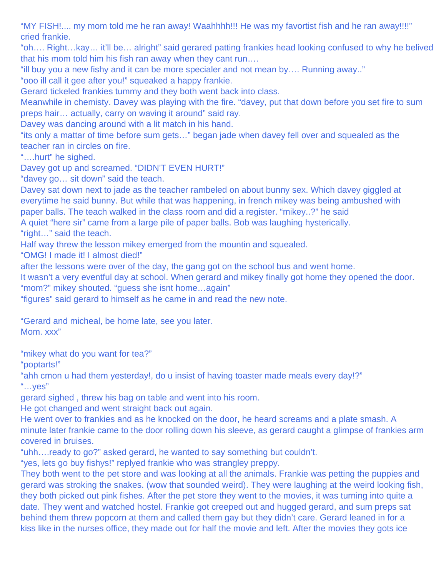"MY FISH!.... my mom told me he ran away! Waahhhh!!! He was my favortist fish and he ran away!!!!" cried frankie.

"oh…. Right…kay… it'll be… alright" said gerared patting frankies head looking confused to why he belived that his mom told him his fish ran away when they cant run….

"ill buy you a new fishy and it can be more specialer and not mean by…. Running away.."

"ooo ill call it gee after you!" squeaked a happy frankie.

Gerard tickeled frankies tummy and they both went back into class.

Meanwhile in chemisty. Davey was playing with the fire. "davey, put that down before you set fire to sum preps hair… actually, carry on waving it around" said ray.

Davey was dancing around with a lit match in his hand.

"its only a mattar of time before sum gets…" began jade when davey fell over and squealed as the teacher ran in circles on fire.

"….hurt" he sighed.

Davey got up and screamed. "DIDN'T EVEN HURT!"

"davey go… sit down" said the teach.

Davey sat down next to jade as the teacher rambeled on about bunny sex. Which davey giggled at everytime he said bunny. But while that was happening, in french mikey was being ambushed with paper balls. The teach walked in the class room and did a register. "mikey..?" he said

A quiet "here sir" came from a large pile of paper balls. Bob was laughing hysterically.

"right…" said the teach.

Half way threw the lesson mikey emerged from the mountin and squealed.

"OMG! I made it! I almost died!"

after the lessons were over of the day, the gang got on the school bus and went home.

It wasn't a very eventful day at school. When gerard and mikey finally got home they opened the door. "mom?" mikey shouted. "guess she isnt home…again"

"figures" said gerard to himself as he came in and read the new note.

"Gerard and micheal, be home late, see you later.

Mom. xxx"

"mikey what do you want for tea?"

"poptarts!"

"ahh cmon u had them yesterday!, do u insist of having toaster made meals every day!?"  $\mathbf{w}$ ... yes"

gerard sighed , threw his bag on table and went into his room.

He got changed and went straight back out again.

He went over to frankies and as he knocked on the door, he heard screams and a plate smash. A minute later frankie came to the door rolling down his sleeve, as gerard caught a glimpse of frankies arm covered in bruises.

"uhh….ready to go?" asked gerard, he wanted to say something but couldn't.

"yes, lets go buy fishys!" replyed frankie who was strangley preppy.

They both went to the pet store and was looking at all the animals. Frankie was petting the puppies and gerard was stroking the snakes. (wow that sounded weird). They were laughing at the weird looking fish, they both picked out pink fishes. After the pet store they went to the movies, it was turning into quite a date. They went and watched hostel. Frankie got creeped out and hugged gerard, and sum preps sat behind them threw popcorn at them and called them gay but they didn't care. Gerard leaned in for a kiss like in the nurses office, they made out for half the movie and left. After the movies they gots ice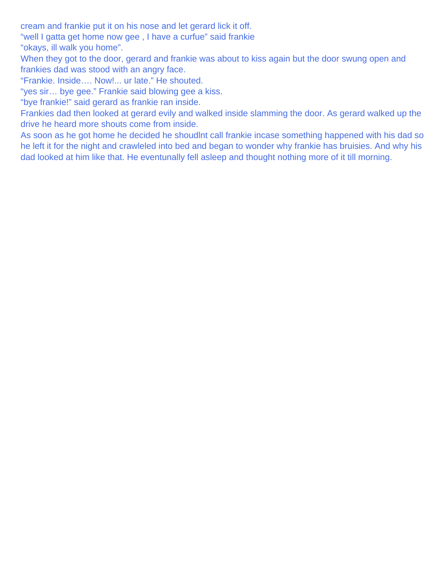cream and frankie put it on his nose and let gerard lick it off.

"well I gatta get home now gee , I have a curfue" said frankie

"okays, ill walk you home".

When they got to the door, gerard and frankie was about to kiss again but the door swung open and frankies dad was stood with an angry face.

"Frankie. Inside…. Now!... ur late." He shouted.

"yes sir… bye gee." Frankie said blowing gee a kiss.

"bye frankie!" said gerard as frankie ran inside.

Frankies dad then looked at gerard evily and walked inside slamming the door. As gerard walked up the drive he heard more shouts come from inside.

As soon as he got home he decided he shoudlnt call frankie incase something happened with his dad so he left it for the night and crawleled into bed and began to wonder why frankie has bruisies. And why his dad looked at him like that. He eventunally fell asleep and thought nothing more of it till morning.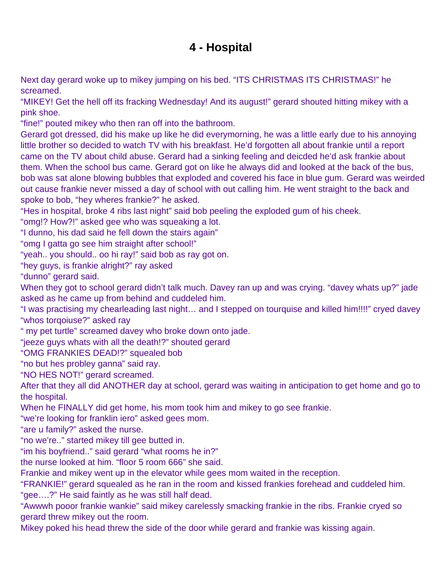# **4 - Hospital**

<span id="page-10-0"></span>Next day gerard woke up to mikey jumping on his bed. "ITS CHRISTMAS ITS CHRISTMAS!" he screamed.

"MIKEY! Get the hell off its fracking Wednesday! And its august!" gerard shouted hitting mikey with a pink shoe.

"fine!" pouted mikey who then ran off into the bathroom.

Gerard got dressed, did his make up like he did everymorning, he was a little early due to his annoying little brother so decided to watch TV with his breakfast. He'd forgotten all about frankie until a report came on the TV about child abuse. Gerard had a sinking feeling and deicded he'd ask frankie about them. When the school bus came. Gerard got on like he always did and looked at the back of the bus, bob was sat alone blowing bubbles that exploded and covered his face in blue gum. Gerard was weirded out cause frankie never missed a day of school with out calling him. He went straight to the back and spoke to bob, "hey wheres frankie?" he asked.

"Hes in hospital, broke 4 ribs last night" said bob peeling the exploded gum of his cheek.

"omg!? How?!" asked gee who was squeaking a lot.

"I dunno, his dad said he fell down the stairs again"

"omg I gatta go see him straight after school!"

"yeah.. you should.. oo hi ray!" said bob as ray got on.

"hey guys, is frankie alright?" ray asked

"dunno" gerard said.

When they got to school gerard didn't talk much. Davey ran up and was crying. "davey whats up?" jade asked as he came up from behind and cuddeled him.

"I was practising my chearleading last night… and I stepped on tourquise and killed him!!!!" cryed davey "whos torqoiuse?" asked ray

" my pet turtle" screamed davey who broke down onto jade.

"jeeze guys whats with all the death!?" shouted gerard

"OMG FRANKIES DEAD!?" squealed bob

"no but hes probley ganna" said ray.

"NO HES NOT!" gerard screamed.

After that they all did ANOTHER day at school, gerard was waiting in anticipation to get home and go to the hospital.

When he FINALLY did get home, his mom took him and mikey to go see frankie.

"we're looking for franklin iero" asked gees mom.

"are u family?" asked the nurse.

"no we're.." started mikey till gee butted in.

"im his boyfriend.." said gerard "what rooms he in?"

the nurse looked at him. "floor 5 room 666" she said.

Frankie and mikey went up in the elevator while gees mom waited in the reception.

"FRANKIE!" gerard squealed as he ran in the room and kissed frankies forehead and cuddeled him. "gee….?" He said faintly as he was still half dead.

"Awwwh pooor frankie wankie" said mikey carelessly smacking frankie in the ribs. Frankie cryed so gerard threw mikey out the room.

Mikey poked his head threw the side of the door while gerard and frankie was kissing again.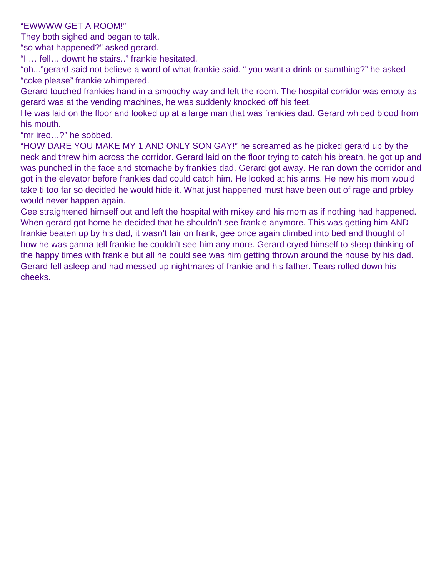#### "EWWWW GET A ROOM!"

They both sighed and began to talk.

"so what happened?" asked gerard.

"I … fell… downt he stairs.." frankie hesitated.

"oh..."gerard said not believe a word of what frankie said. " you want a drink or sumthing?" he asked "coke please" frankie whimpered.

Gerard touched frankies hand in a smoochy way and left the room. The hospital corridor was empty as gerard was at the vending machines, he was suddenly knocked off his feet.

He was laid on the floor and looked up at a large man that was frankies dad. Gerard whiped blood from his mouth.

"mr ireo…?" he sobbed.

"HOW DARE YOU MAKE MY 1 AND ONLY SON GAY!" he screamed as he picked gerard up by the neck and threw him across the corridor. Gerard laid on the floor trying to catch his breath, he got up and was punched in the face and stomache by frankies dad. Gerard got away. He ran down the corridor and got in the elevator before frankies dad could catch him. He looked at his arms. He new his mom would take ti too far so decided he would hide it. What just happened must have been out of rage and prbley would never happen again.

Gee straightened himself out and left the hospital with mikey and his mom as if nothing had happened. When gerard got home he decided that he shouldn't see frankie anymore. This was getting him AND frankie beaten up by his dad, it wasn't fair on frank, gee once again climbed into bed and thought of how he was ganna tell frankie he couldn't see him any more. Gerard cryed himself to sleep thinking of the happy times with frankie but all he could see was him getting thrown around the house by his dad. Gerard fell asleep and had messed up nightmares of frankie and his father. Tears rolled down his cheeks.